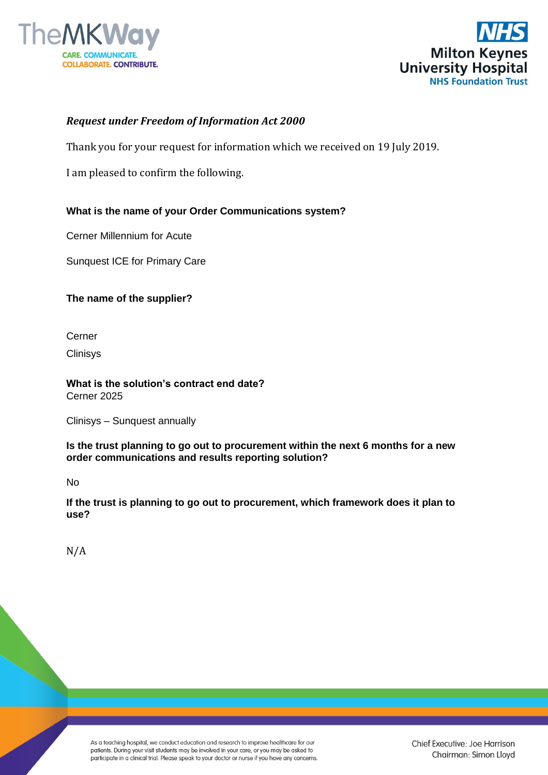



# *Request under Freedom of Information Act 2000*

Thank you for your request for information which we received on 19 July 2019.

I am pleased to confirm the following.

# **What is the name of your Order Communications system?**

Cerner Millennium for Acute

Sunquest ICE for Primary Care

## **The name of the supplier?**

Cerner

**Clinisys** 

**What is the solution's contract end date?** Cerner 2025

Clinisys – Sunquest annually

**Is the trust planning to go out to procurement within the next 6 months for a new order communications and results reporting solution?** 

No

**If the trust is planning to go out to procurement, which framework does it plan to use?**

N/A

As a teaching hospital, we conduct education and research to improve healthcare for our patients. During your visit students may be involved in your care, or you may be asked to participate in a clinical trial. Please speak to your doctor or nurse if you have any concerns.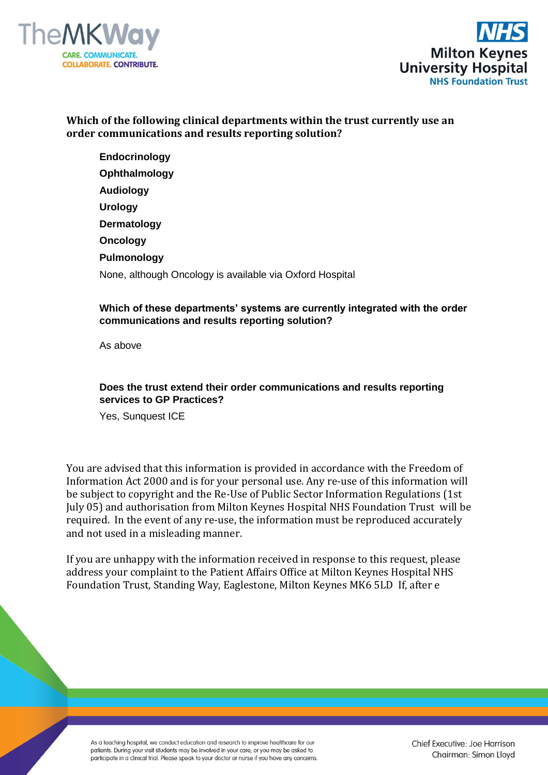



# **Which of the following clinical departments within the trust currently use an order communications and results reporting solution?**

**Endocrinology Ophthalmology Audiology Urology Dermatology Oncology Pulmonology** None, although Oncology is available via Oxford Hospital

## **Which of these departments' systems are currently integrated with the order communications and results reporting solution?**

As above

## **Does the trust extend their order communications and results reporting services to GP Practices?**

Yes, Sunquest ICE

You are advised that this information is provided in accordance with the Freedom of Information Act 2000 and is for your personal use. Any re-use of this information will be subject to copyright and the Re-Use of Public Sector Information Regulations (1st July 05) and authorisation from Milton Keynes Hospital NHS Foundation Trust will be required. In the event of any re-use, the information must be reproduced accurately and not used in a misleading manner.

If you are unhappy with the information received in response to this request, please address your complaint to the Patient Affairs Office at Milton Keynes Hospital NHS Foundation Trust, Standing Way, Eaglestone, Milton Keynes MK6 5LD If, after e

As a teaching hospital, we conduct education and research to improve healthcare for our patients. During your visit students may be involved in your care, or you may be asked to participate in a clinical trial. Please speak to your doctor or nurse if you have any concerns. Chief Executive: Joe Harrison Chairman: Simon Lloyd